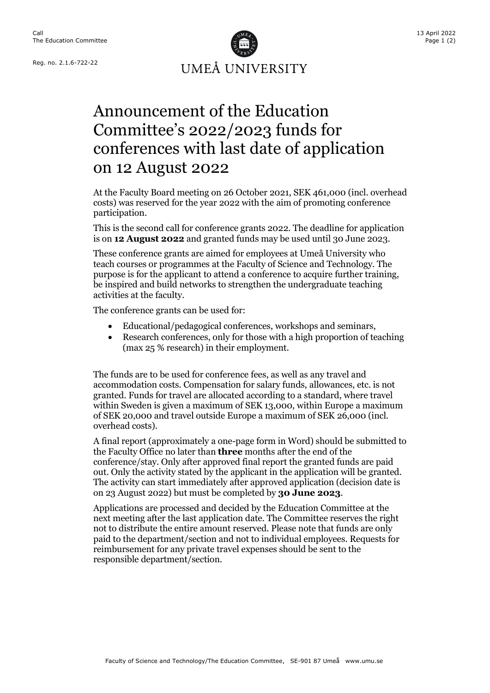

## Announcement of the Education Committee's 2022/2023 funds for conferences with last date of application on 12 August 2022

At the Faculty Board meeting on 26 October 2021, SEK 461,000 (incl. overhead costs) was reserved for the year 2022 with the aim of promoting conference participation.

This is the second call for conference grants 2022. The deadline for application is on **12 August 2022** and granted funds may be used until 30 June 2023.

These conference grants are aimed for employees at Umeå University who teach courses or programmes at the Faculty of Science and Technology. The purpose is for the applicant to attend a conference to acquire further training, be inspired and build networks to strengthen the undergraduate teaching activities at the faculty.

The conference grants can be used for:

- Educational/pedagogical conferences, workshops and seminars,
- Research conferences, only for those with a high proportion of teaching (max 25 % research) in their employment.

The funds are to be used for conference fees, as well as any travel and accommodation costs. Compensation for salary funds, allowances, etc. is not granted. Funds for travel are allocated according to a standard, where travel within Sweden is given a maximum of SEK 13,000, within Europe a maximum of SEK 20,000 and travel outside Europe a maximum of SEK 26,000 (incl. overhead costs).

A final report (approximately a one-page form in Word) should be submitted to the Faculty Office no later than **three** months after the end of the conference/stay. Only after approved final report the granted funds are paid out. Only the activity stated by the applicant in the application will be granted. The activity can start immediately after approved application (decision date is on 23 August 2022) but must be completed by **30 June 2023**.

Applications are processed and decided by the Education Committee at the next meeting after the last application date. The Committee reserves the right not to distribute the entire amount reserved. Please note that funds are only paid to the department/section and not to individual employees. Requests for reimbursement for any private travel expenses should be sent to the responsible department/section.